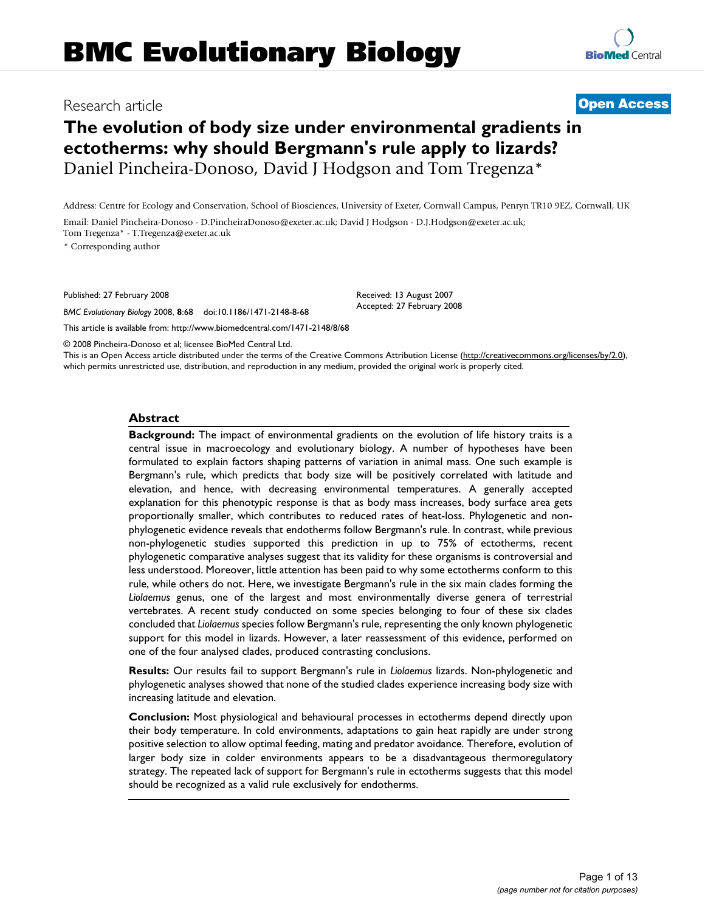# **The evolution of body size under environmental gradients in ectotherms: why should Bergmann's rule apply to lizards?** Daniel Pincheira-Donoso, David J Hodgson and Tom Tregenza\*

Address: Centre for Ecology and Conservation, School of Biosciences, University of Exeter, Cornwall Campus, Penryn TR10 9EZ, Cornwall, UK

Email: Daniel Pincheira-Donoso - D.PincheiraDonoso@exeter.ac.uk; David J Hodgson - D.J.Hodgson@exeter.ac.uk; Tom Tregenza\* - T.Tregenza@exeter.ac.uk

\* Corresponding author

Published: 27 February 2008

*BMC Evolutionary Biology* 2008, **8**:68 doi:10.1186/1471-2148-8-68

[This article is available from: http://www.biomedcentral.com/1471-2148/8/68](http://www.biomedcentral.com/1471-2148/8/68)

© 2008 Pincheira-Donoso et al; licensee BioMed Central Ltd.

This is an Open Access article distributed under the terms of the Creative Commons Attribution License [\(http://creativecommons.org/licenses/by/2.0\)](http://creativecommons.org/licenses/by/2.0), which permits unrestricted use, distribution, and reproduction in any medium, provided the original work is properly cited.

### **Abstract**

**Background:** The impact of environmental gradients on the evolution of life history traits is a central issue in macroecology and evolutionary biology. A number of hypotheses have been formulated to explain factors shaping patterns of variation in animal mass. One such example is Bergmann's rule, which predicts that body size will be positively correlated with latitude and elevation, and hence, with decreasing environmental temperatures. A generally accepted explanation for this phenotypic response is that as body mass increases, body surface area gets proportionally smaller, which contributes to reduced rates of heat-loss. Phylogenetic and nonphylogenetic evidence reveals that endotherms follow Bergmann's rule. In contrast, while previous non-phylogenetic studies supported this prediction in up to 75% of ectotherms, recent phylogenetic comparative analyses suggest that its validity for these organisms is controversial and less understood. Moreover, little attention has been paid to why some ectotherms conform to this rule, while others do not. Here, we investigate Bergmann's rule in the six main clades forming the *Liolaemus* genus, one of the largest and most environmentally diverse genera of terrestrial vertebrates. A recent study conducted on some species belonging to four of these six clades concluded that *Liolaemus* species follow Bergmann's rule, representing the only known phylogenetic support for this model in lizards. However, a later reassessment of this evidence, performed on one of the four analysed clades, produced contrasting conclusions.

**Results:** Our results fail to support Bergmann's rule in *Liolaemus* lizards. Non-phylogenetic and phylogenetic analyses showed that none of the studied clades experience increasing body size with increasing latitude and elevation.

**Conclusion:** Most physiological and behavioural processes in ectotherms depend directly upon their body temperature. In cold environments, adaptations to gain heat rapidly are under strong positive selection to allow optimal feeding, mating and predator avoidance. Therefore, evolution of larger body size in colder environments appears to be a disadvantageous thermoregulatory strategy. The repeated lack of support for Bergmann's rule in ectotherms suggests that this model should be recognized as a valid rule exclusively for endotherms.

# Research article **[Open Access](http://www.biomedcentral.com/info/about/charter/)**

Received: 13 August 2007 Accepted: 27 February 2008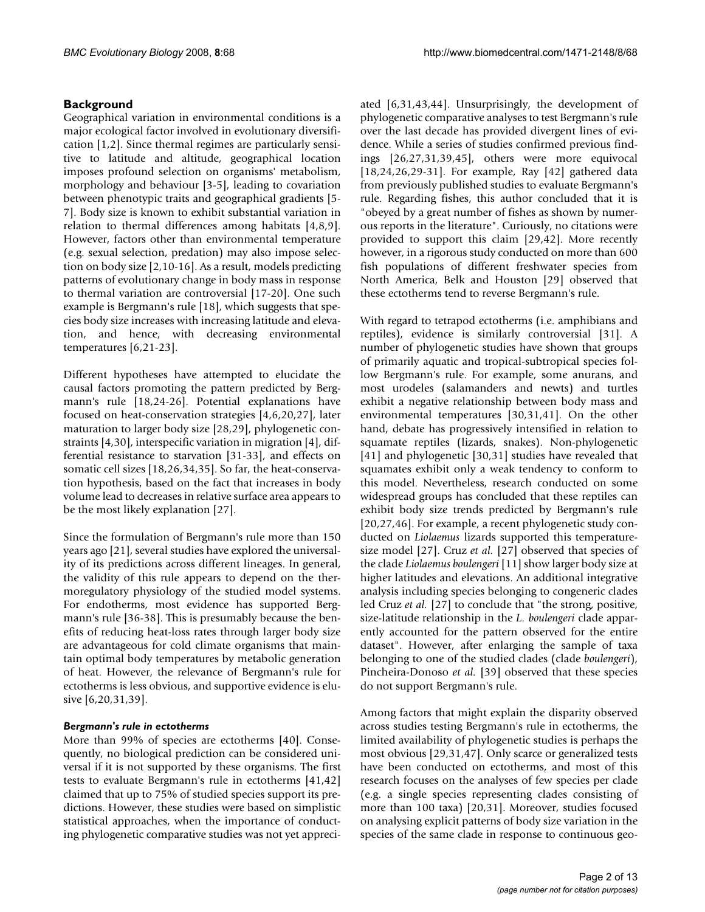# **Background**

Geographical variation in environmental conditions is a major ecological factor involved in evolutionary diversification [1,2]. Since thermal regimes are particularly sensitive to latitude and altitude, geographical location imposes profound selection on organisms' metabolism, morphology and behaviour [3-5], leading to covariation between phenotypic traits and geographical gradients [5- 7]. Body size is known to exhibit substantial variation in relation to thermal differences among habitats [4,8,9]. However, factors other than environmental temperature (e.g. sexual selection, predation) may also impose selection on body size [2,10-16]. As a result, models predicting patterns of evolutionary change in body mass in response to thermal variation are controversial [17-20]. One such example is Bergmann's rule [18], which suggests that species body size increases with increasing latitude and elevation, and hence, with decreasing environmental temperatures [6,21-23].

Different hypotheses have attempted to elucidate the causal factors promoting the pattern predicted by Bergmann's rule [18,24-26]. Potential explanations have focused on heat-conservation strategies [4,6,20,27], later maturation to larger body size [28,29], phylogenetic constraints [4,30], interspecific variation in migration [4], differential resistance to starvation [31-33], and effects on somatic cell sizes [18,26,34,35]. So far, the heat-conservation hypothesis, based on the fact that increases in body volume lead to decreases in relative surface area appears to be the most likely explanation [27].

Since the formulation of Bergmann's rule more than 150 years ago [21], several studies have explored the universality of its predictions across different lineages. In general, the validity of this rule appears to depend on the thermoregulatory physiology of the studied model systems. For endotherms, most evidence has supported Bergmann's rule [36-38]. This is presumably because the benefits of reducing heat-loss rates through larger body size are advantageous for cold climate organisms that maintain optimal body temperatures by metabolic generation of heat. However, the relevance of Bergmann's rule for ectotherms is less obvious, and supportive evidence is elusive [6,20,31,39].

# *Bergmann's rule in ectotherms*

More than 99% of species are ectotherms [40]. Consequently, no biological prediction can be considered universal if it is not supported by these organisms. The first tests to evaluate Bergmann's rule in ectotherms [41,42] claimed that up to 75% of studied species support its predictions. However, these studies were based on simplistic statistical approaches, when the importance of conducting phylogenetic comparative studies was not yet appreciated [6,31,43,44]. Unsurprisingly, the development of phylogenetic comparative analyses to test Bergmann's rule over the last decade has provided divergent lines of evidence. While a series of studies confirmed previous findings [26,27,31,39,45], others were more equivocal [18,24,26,29-31]. For example, Ray [42] gathered data from previously published studies to evaluate Bergmann's rule. Regarding fishes, this author concluded that it is "obeyed by a great number of fishes as shown by numerous reports in the literature". Curiously, no citations were provided to support this claim [29,42]. More recently however, in a rigorous study conducted on more than 600 fish populations of different freshwater species from North America, Belk and Houston [29] observed that these ectotherms tend to reverse Bergmann's rule.

With regard to tetrapod ectotherms (i.e. amphibians and reptiles), evidence is similarly controversial [31]. A number of phylogenetic studies have shown that groups of primarily aquatic and tropical-subtropical species follow Bergmann's rule. For example, some anurans, and most urodeles (salamanders and newts) and turtles exhibit a negative relationship between body mass and environmental temperatures [30,31,41]. On the other hand, debate has progressively intensified in relation to squamate reptiles (lizards, snakes). Non-phylogenetic [41] and phylogenetic [30,31] studies have revealed that squamates exhibit only a weak tendency to conform to this model. Nevertheless, research conducted on some widespread groups has concluded that these reptiles can exhibit body size trends predicted by Bergmann's rule [20,27[,46](#page-10-0)]. For example, a recent phylogenetic study conducted on *Liolaemus* lizards supported this temperaturesize model [27]. Cruz *et al.* [27] observed that species of the clade *Liolaemus boulengeri* [11] show larger body size at higher latitudes and elevations. An additional integrative analysis including species belonging to congeneric clades led Cruz *et al.* [27] to conclude that "the strong, positive, size-latitude relationship in the *L. boulengeri* clade apparently accounted for the pattern observed for the entire dataset". However, after enlarging the sample of taxa belonging to one of the studied clades (clade *boulengeri*), Pincheira-Donoso et al. [39] observed that these species do not support Bergmann's rule.

Among factors that might explain the disparity observed across studies testing Bergmann's rule in ectotherms, the limited availability of phylogenetic studies is perhaps the most obvious [29,31,47]. Only scarce or generalized tests have been conducted on ectotherms, and most of this research focuses on the analyses of few species per clade (e.g. a single species representing clades consisting of more than 100 taxa) [20,31]. Moreover, studies focused on analysing explicit patterns of body size variation in the species of the same clade in response to continuous geo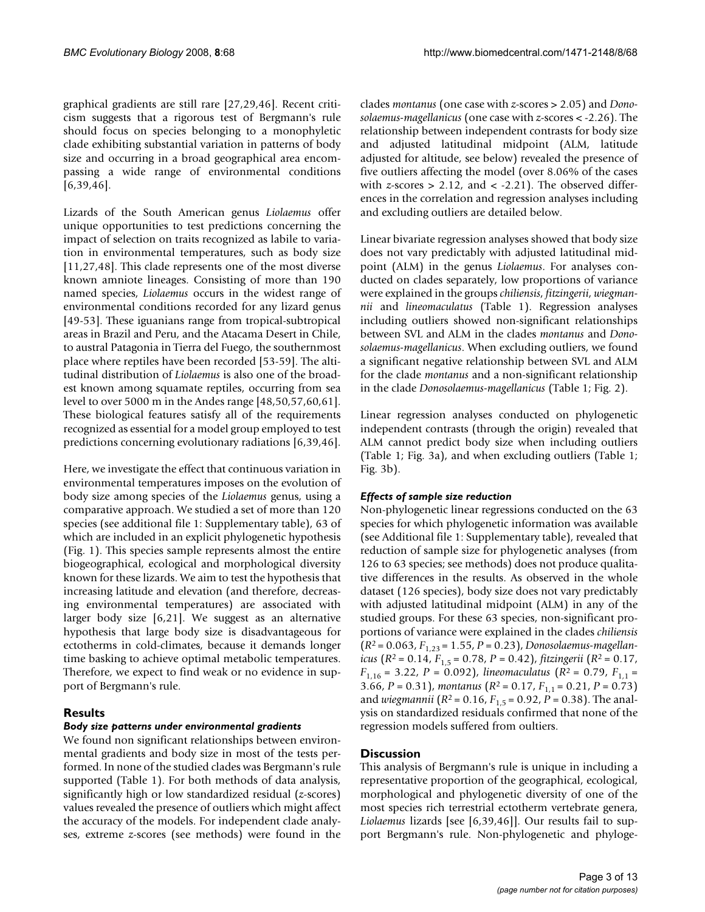graphical gradients are still rare [27,29,[46](#page-10-0)]. Recent criticism suggests that a rigorous test of Bergmann's rule should focus on species belonging to a monophyletic clade exhibiting substantial variation in patterns of body size and occurring in a broad geographical area encompassing a wide range of environmental conditions [6,39,[46\]](#page-10-0).

Lizards of the South American genus *Liolaemus* offer unique opportunities to test predictions concerning the impact of selection on traits recognized as labile to variation in environmental temperatures, such as body size [11,27,48]. This clade represents one of the most diverse known amniote lineages. Consisting of more than 190 named species, *Liolaemus* occurs in the widest range of environmental conditions recorded for any lizard genus [49-53]. These iguanians range from tropical-subtropical areas in Brazil and Peru, and the Atacama Desert in Chile, to austral Patagonia in Tierra del Fuego, the southernmost place where reptiles have been recorded [53-59]. The altitudinal distribution of *Liolaemus* is also one of the broadest known among squamate reptiles, occurring from sea level to over 5000 m in the Andes range [48,50,57,60,61]. These biological features satisfy all of the requirements recognized as essential for a model group employed to test predictions concerning evolutionary radiations [6,39[,46](#page-10-0)].

Here, we investigate the effect that continuous variation in environmental temperatures imposes on the evolution of body size among species of the *Liolaemus* genus, using a comparative approach. We studied a set of more than 120 species (see additional file 1: Supplementary table), 63 of which are included in an explicit phylogenetic hypothesis (Fig. 1). This species sample represents almost the entire biogeographical, ecological and morphological diversity known for these lizards. We aim to test the hypothesis that increasing latitude and elevation (and therefore, decreasing environmental temperatures) are associated with larger body size [6,21]. We suggest as an alternative hypothesis that large body size is disadvantageous for ectotherms in cold-climates, because it demands longer time basking to achieve optimal metabolic temperatures. Therefore, we expect to find weak or no evidence in support of Bergmann's rule.

# **Results**

### *Body size patterns under environmental gradients*

We found non significant relationships between environmental gradients and body size in most of the tests performed. In none of the studied clades was Bergmann's rule supported (Table 1). For both methods of data analysis, significantly high or low standardized residual (*z*-scores) values revealed the presence of outliers which might affect the accuracy of the models. For independent clade analyses, extreme *z*-scores (see methods) were found in the clades *montanus* (one case with *z*-scores > 2.05) and *Donosolaemus-magellanicus* (one case with *z*-scores < -2.26). The relationship between independent contrasts for body size and adjusted latitudinal midpoint (ALM, latitude adjusted for altitude, see below) revealed the presence of five outliers affecting the model (over 8.06% of the cases with *z*-scores > 2.12, and < -2.21). The observed differences in the correlation and regression analyses including and excluding outliers are detailed below.

Linear bivariate regression analyses showed that body size does not vary predictably with adjusted latitudinal midpoint (ALM) in the genus *Liolaemus*. For analyses conducted on clades separately, low proportions of variance were explained in the groups *chiliensis*, *fitzingerii*, *wiegmannii* and *lineomaculatus* (Table 1). Regression analyses including outliers showed non-significant relationships between SVL and ALM in the clades *montanus* and *Donosolaemus-magellanicus*. When excluding outliers, we found a significant negative relationship between SVL and ALM for the clade *montanus* and a non-significant relationship in the clade *Donosolaemus-magellanicus* (Table 1; Fig. 2).

Linear regression analyses conducted on phylogenetic independent contrasts (through the origin) revealed that ALM cannot predict body size when including outliers (Table 1; Fig. 3a), and when excluding outliers (Table 1; Fig. 3b).

#### *Effects of sample size reduction*

Non-phylogenetic linear regressions conducted on the 63 species for which phylogenetic information was available (see Additional file 1: Supplementary table), revealed that reduction of sample size for phylogenetic analyses (from 126 to 63 species; see methods) does not produce qualitative differences in the results. As observed in the whole dataset (126 species), body size does not vary predictably with adjusted latitudinal midpoint (ALM) in any of the studied groups. For these 63 species, non-significant proportions of variance were explained in the clades *chiliensis* (*R*2 = 0.063, *F*1,23 = 1.55, *P* = 0.23), *Donosolaemus-magellanicus* (*R*2 = 0.14, *F*1,5 = 0.78, *P* = 0.42), *fitzingerii* (*R*2 = 0.17,  $F_{1,16} = 3.22$ ,  $P = 0.092$ ), *lineomaculatus* ( $R^2 = 0.79$ ,  $F_{1,1} =$ 3.66, *P* = 0.31), *montanus* (*R*2 = 0.17, *F*1,1 = 0.21, *P* = 0.73) and *wiegmannii* (*R*2 = 0.16, *F*1,5 = 0.92, *P* = 0.38). The analysis on standardized residuals confirmed that none of the regression models suffered from oultiers.

### **Discussion**

This analysis of Bergmann's rule is unique in including a representative proportion of the geographical, ecological, morphological and phylogenetic diversity of one of the most species rich terrestrial ectotherm vertebrate genera, *Liolaemus* lizards [see [6,39,[46\]](#page-10-0)]. Our results fail to support Bergmann's rule. Non-phylogenetic and phyloge-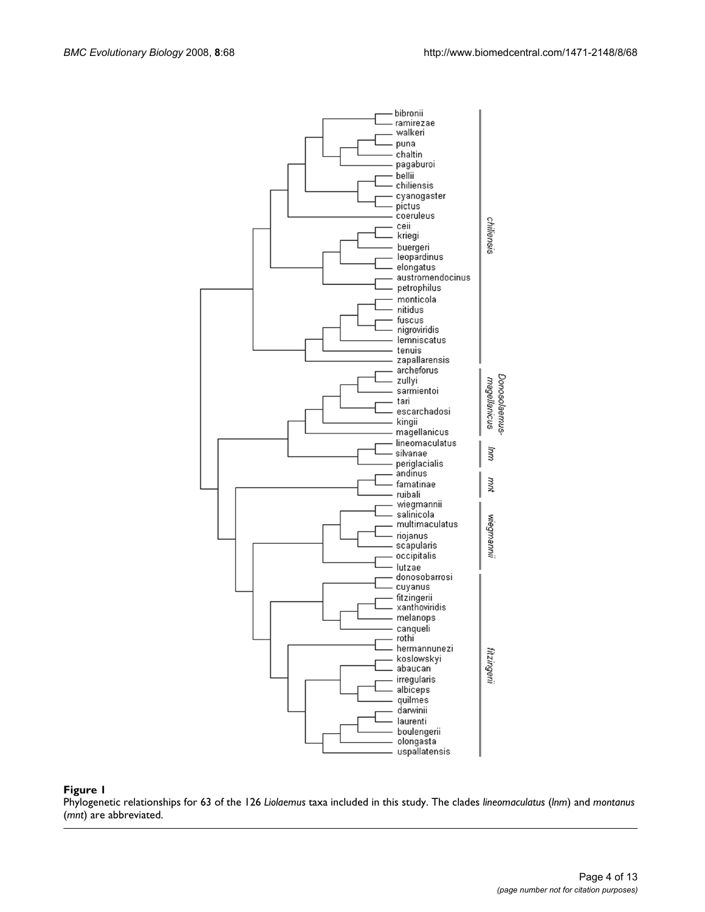

Phylogenetic relationships for 63 of the 126 *Liolaemus* taxa included in this study. The clades *lineomaculatus* (*lnm*) and *montanus*  (*mnt*) are abbreviated.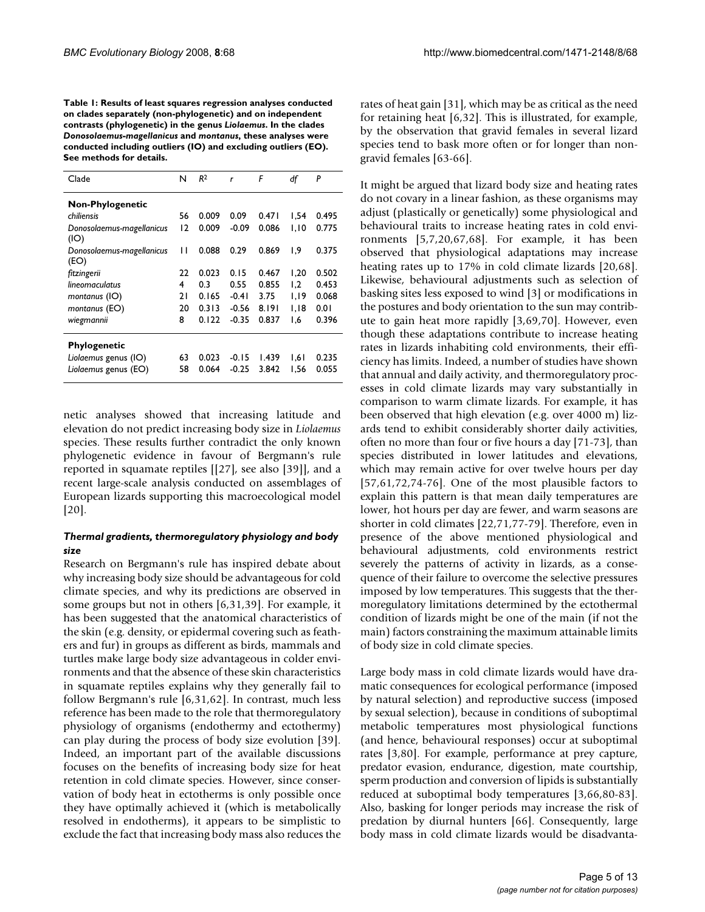**Table 1: Results of least squares regression analyses conducted on clades separately (non-phylogenetic) and on independent contrasts (phylogenetic) in the genus** *Liolaemus***. In the clades**  *Donosolaemus-magellanicus* **and** *montanus***, these analyses were conducted including outliers (IO) and excluding outliers (EO). See methods for details.**

| Clade                             | N  | R <sup>2</sup> | r       | F     | df   | P     |
|-----------------------------------|----|----------------|---------|-------|------|-------|
| <b>Non-Phylogenetic</b>           |    |                |         |       |      |       |
| chiliensis                        | 56 | 0.009          | 0.09    | 0.471 | 1.54 | 0.495 |
| Donosolaemus-magellanicus<br>(IO) | 12 | 0.009          | $-0.09$ | 0.086 | 1,10 | 0.775 |
| Donosolaemus-magellanicus<br>(EO) | П  | 0.088          | 0.29    | 0.869 | ۱.9  | 0.375 |
| fitzingerii                       | 22 | 0.023          | 0.15    | 0.467 | 1,20 | 0.502 |
| lineomaculatus                    | 4  | 0.3            | 0.55    | 0.855 | 1,2  | 0.453 |
| montanus (IO)                     | 21 | 0.165          | $-0.41$ | 3.75  | 1,19 | 0.068 |
| montanus (EO)                     | 20 | 0.313          | $-0.56$ | 8.191 | 1,18 | 0.01  |
| wiegmannii                        | 8  | 0.122          | $-0.35$ | 0.837 | 1,6  | 0.396 |
| Phylogenetic                      |    |                |         |       |      |       |
| Liolaemus genus (IO)              | 63 | 0.023          | $-0.15$ | 1.439 | 1,61 | 0.235 |
| Liolaemus genus (EO)              | 58 | 0.064          | $-0.25$ | 3.842 | 1,56 | 0.055 |

netic analyses showed that increasing latitude and elevation do not predict increasing body size in *Liolaemus* species. These results further contradict the only known phylogenetic evidence in favour of Bergmann's rule reported in squamate reptiles [[27], see also [39]], and a recent large-scale analysis conducted on assemblages of European lizards supporting this macroecological model [20].

# *Thermal gradients, thermoregulatory physiology and body size*

Research on Bergmann's rule has inspired debate about why increasing body size should be advantageous for cold climate species, and why its predictions are observed in some groups but not in others [6,31,39]. For example, it has been suggested that the anatomical characteristics of the skin (e.g. density, or epidermal covering such as feathers and fur) in groups as different as birds, mammals and turtles make large body size advantageous in colder environments and that the absence of these skin characteristics in squamate reptiles explains why they generally fail to follow Bergmann's rule [6,31,62]. In contrast, much less reference has been made to the role that thermoregulatory physiology of organisms (endothermy and ectothermy) can play during the process of body size evolution [39]. Indeed, an important part of the available discussions focuses on the benefits of increasing body size for heat retention in cold climate species. However, since conservation of body heat in ectotherms is only possible once they have optimally achieved it (which is metabolically resolved in endotherms), it appears to be simplistic to exclude the fact that increasing body mass also reduces the rates of heat gain [31], which may be as critical as the need for retaining heat [6,32]. This is illustrated, for example, by the observation that gravid females in several lizard species tend to bask more often or for longer than nongravid females [63-66].

It might be argued that lizard body size and heating rates do not covary in a linear fashion, as these organisms may adjust (plastically or genetically) some physiological and behavioural traits to increase heating rates in cold environments [5,7,20,67,68]. For example, it has been observed that physiological adaptations may increase heating rates up to 17% in cold climate lizards [20,68]. Likewise, behavioural adjustments such as selection of basking sites less exposed to wind [3] or modifications in the postures and body orientation to the sun may contribute to gain heat more rapidly [3,69,70]. However, even though these adaptations contribute to increase heating rates in lizards inhabiting cold environments, their efficiency has limits. Indeed, a number of studies have shown that annual and daily activity, and thermoregulatory processes in cold climate lizards may vary substantially in comparison to warm climate lizards. For example, it has been observed that high elevation (e.g. over 4000 m) lizards tend to exhibit considerably shorter daily activities, often no more than four or five hours a day [71-73], than species distributed in lower latitudes and elevations, which may remain active for over twelve hours per day [57,61,72,74-76]. One of the most plausible factors to explain this pattern is that mean daily temperatures are lower, hot hours per day are fewer, and warm seasons are shorter in cold climates [22,71,77-79]. Therefore, even in presence of the above mentioned physiological and behavioural adjustments, cold environments restrict severely the patterns of activity in lizards, as a consequence of their failure to overcome the selective pressures imposed by low temperatures. This suggests that the thermoregulatory limitations determined by the ectothermal condition of lizards might be one of the main (if not the main) factors constraining the maximum attainable limits of body size in cold climate species.

Large body mass in cold climate lizards would have dramatic consequences for ecological performance (imposed by natural selection) and reproductive success (imposed by sexual selection), because in conditions of suboptimal metabolic temperatures most physiological functions (and hence, behavioural responses) occur at suboptimal rates [3,80]. For example, performance at prey capture, predator evasion, endurance, digestion, mate courtship, sperm production and conversion of lipids is substantially reduced at suboptimal body temperatures [3,66,80-83]. Also, basking for longer periods may increase the risk of predation by diurnal hunters [66]. Consequently, large body mass in cold climate lizards would be disadvanta-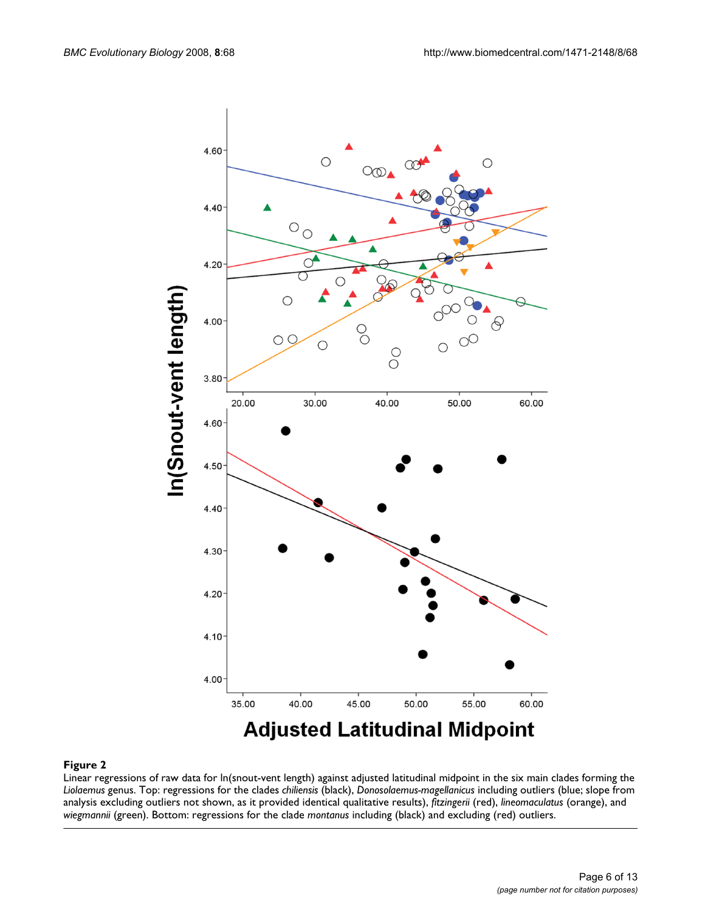

Linear regressions of raw data for ln(snout-vent length) against adjusted latitudinal midpoint in the six main clades forming the *Liolaemus* genus. Top: regressions for the clades *chiliensis* (black), *Donosolaemus-magellanicus* including outliers (blue; slope from analysis excluding outliers not shown, as it provided identical qualitative results), *fitzingerii* (red), *lineomaculatus* (orange), and *wiegmannii* (green). Bottom: regressions for the clade *montanus* including (black) and excluding (red) outliers.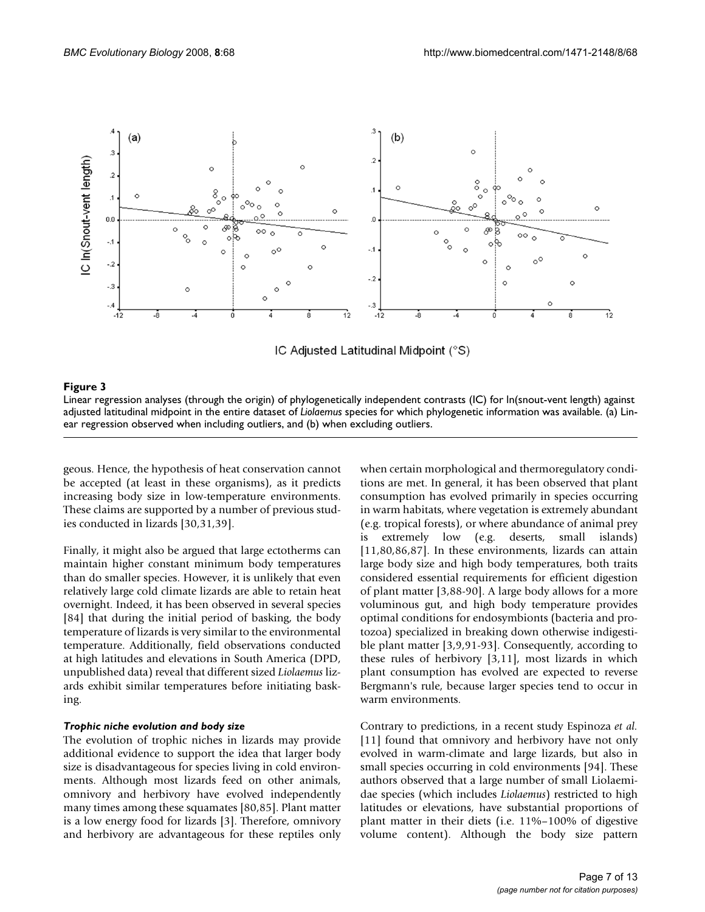

IC Adjusted Latitudinal Midpoint (°S)

# **Figure 3** Production of the contract of the contract of the contract of the contract of the contract of the contract of the contract of the contract of the contract of the contract of the contract of the contract of the c

Linear regression analyses (through the origin) of phylogenetically independent contrasts (IC) for ln(snout-vent length) against adjusted latitudinal midpoint in the entire dataset of *Liolaemus* species for which phylogenetic information was available. (a) Linear regression observed when including outliers, and (b) when excluding outliers.

geous. Hence, the hypothesis of heat conservation cannot be accepted (at least in these organisms), as it predicts increasing body size in low-temperature environments. These claims are supported by a number of previous studies conducted in lizards [30,31,39].

Finally, it might also be argued that large ectotherms can maintain higher constant minimum body temperatures than do smaller species. However, it is unlikely that even relatively large cold climate lizards are able to retain heat overnight. Indeed, it has been observed in several species [84] that during the initial period of basking, the body temperature of lizards is very similar to the environmental temperature. Additionally, field observations conducted at high latitudes and elevations in South America (DPD, unpublished data) reveal that different sized *Liolaemus* lizards exhibit similar temperatures before initiating basking.

### *Trophic niche evolution and body size*

The evolution of trophic niches in lizards may provide additional evidence to support the idea that larger body size is disadvantageous for species living in cold environments. Although most lizards feed on other animals, omnivory and herbivory have evolved independently many times among these squamates [80,85]. Plant matter is a low energy food for lizards [3]. Therefore, omnivory and herbivory are advantageous for these reptiles only when certain morphological and thermoregulatory conditions are met. In general, it has been observed that plant consumption has evolved primarily in species occurring in warm habitats, where vegetation is extremely abundant (e.g. tropical forests), or where abundance of animal prey is extremely low (e.g. deserts, small islands) [11,80,86,87]. In these environments, lizards can attain large body size and high body temperatures, both traits considered essential requirements for efficient digestion of plant matter [3,88-90]. A large body allows for a more voluminous gut, and high body temperature provides optimal conditions for endosymbionts (bacteria and protozoa) specialized in breaking down otherwise indigestible plant matter [3,9,91-93]. Consequently, according to these rules of herbivory [3,11], most lizards in which plant consumption has evolved are expected to reverse Bergmann's rule, because larger species tend to occur in warm environments.

Contrary to predictions, in a recent study Espinoza *et al.* [11] found that omnivory and herbivory have not only evolved in warm-climate and large lizards, but also in small species occurring in cold environments [94]. These authors observed that a large number of small Liolaemidae species (which includes *Liolaemus*) restricted to high latitudes or elevations, have substantial proportions of plant matter in their diets (i.e. 11%–100% of digestive volume content). Although the body size pattern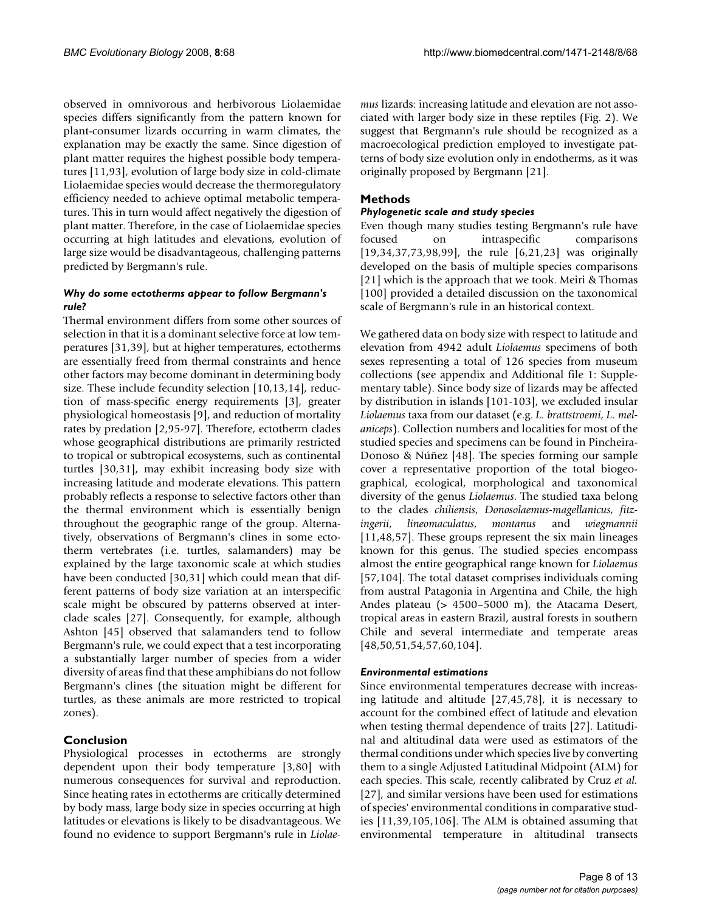observed in omnivorous and herbivorous Liolaemidae species differs significantly from the pattern known for plant-consumer lizards occurring in warm climates, the explanation may be exactly the same. Since digestion of plant matter requires the highest possible body temperatures [11,93], evolution of large body size in cold-climate Liolaemidae species would decrease the thermoregulatory efficiency needed to achieve optimal metabolic temperatures. This in turn would affect negatively the digestion of plant matter. Therefore, in the case of Liolaemidae species occurring at high latitudes and elevations, evolution of large size would be disadvantageous, challenging patterns predicted by Bergmann's rule.

# *Why do some ectotherms appear to follow Bergmann's rule?*

Thermal environment differs from some other sources of selection in that it is a dominant selective force at low temperatures [31,39], but at higher temperatures, ectotherms are essentially freed from thermal constraints and hence other factors may become dominant in determining body size. These include fecundity selection [10,13,14], reduction of mass-specific energy requirements [3], greater physiological homeostasis [9], and reduction of mortality rates by predation [2,95-97]. Therefore, ectotherm clades whose geographical distributions are primarily restricted to tropical or subtropical ecosystems, such as continental turtles [30,31], may exhibit increasing body size with increasing latitude and moderate elevations. This pattern probably reflects a response to selective factors other than the thermal environment which is essentially benign throughout the geographic range of the group. Alternatively, observations of Bergmann's clines in some ectotherm vertebrates (i.e. turtles, salamanders) may be explained by the large taxonomic scale at which studies have been conducted [30,31] which could mean that different patterns of body size variation at an interspecific scale might be obscured by patterns observed at interclade scales [27]. Consequently, for example, although Ashton [45] observed that salamanders tend to follow Bergmann's rule, we could expect that a test incorporating a substantially larger number of species from a wider diversity of areas find that these amphibians do not follow Bergmann's clines (the situation might be different for turtles, as these animals are more restricted to tropical zones).

# **Conclusion**

Physiological processes in ectotherms are strongly dependent upon their body temperature [3,80] with numerous consequences for survival and reproduction. Since heating rates in ectotherms are critically determined by body mass, large body size in species occurring at high latitudes or elevations is likely to be disadvantageous. We found no evidence to support Bergmann's rule in *Liolae-* *mus* lizards: increasing latitude and elevation are not associated with larger body size in these reptiles (Fig. 2). We suggest that Bergmann's rule should be recognized as a macroecological prediction employed to investigate patterns of body size evolution only in endotherms, as it was originally proposed by Bergmann [21].

# **Methods**

## *Phylogenetic scale and study species*

Even though many studies testing Bergmann's rule have focused on intraspecific comparisons [19,34,37,73,98,99], the rule [6,21,23] was originally developed on the basis of multiple species comparisons [21] which is the approach that we took. Meiri & Thomas [100] provided a detailed discussion on the taxonomical scale of Bergmann's rule in an historical context.

We gathered data on body size with respect to latitude and elevation from 4942 adult *Liolaemus* specimens of both sexes representing a total of 126 species from museum collections (see appendix and Additional file 1: Supplementary table). Since body size of lizards may be affected by distribution in islands [101-103], we excluded insular *Liolaemus* taxa from our dataset (e.g. *L. brattstroemi*, *L. melaniceps*). Collection numbers and localities for most of the studied species and specimens can be found in Pincheira-Donoso & Núñez [48]. The species forming our sample cover a representative proportion of the total biogeographical, ecological, morphological and taxonomical diversity of the genus *Liolaemus*. The studied taxa belong to the clades *chiliensis*, *Donosolaemus-magellanicus*, *fitzingerii*, *lineomaculatus*, *montanus* and *wiegmannii* [11,48,57]. These groups represent the six main lineages known for this genus. The studied species encompass almost the entire geographical range known for *Liolaemus* [57,104]. The total dataset comprises individuals coming from austral Patagonia in Argentina and Chile, the high Andes plateau (> 4500–5000 m), the Atacama Desert, tropical areas in eastern Brazil, austral forests in southern Chile and several intermediate and temperate areas [48,50,51,54,57,60,104].

# *Environmental estimations*

Since environmental temperatures decrease with increasing latitude and altitude [27,45,78], it is necessary to account for the combined effect of latitude and elevation when testing thermal dependence of traits [27]. Latitudinal and altitudinal data were used as estimators of the thermal conditions under which species live by converting them to a single Adjusted Latitudinal Midpoint (ALM) for each species. This scale, recently calibrated by Cruz *et al.* [27], and similar versions have been used for estimations of species' environmental conditions in comparative studies [11,39,105,106]. The ALM is obtained assuming that environmental temperature in altitudinal transects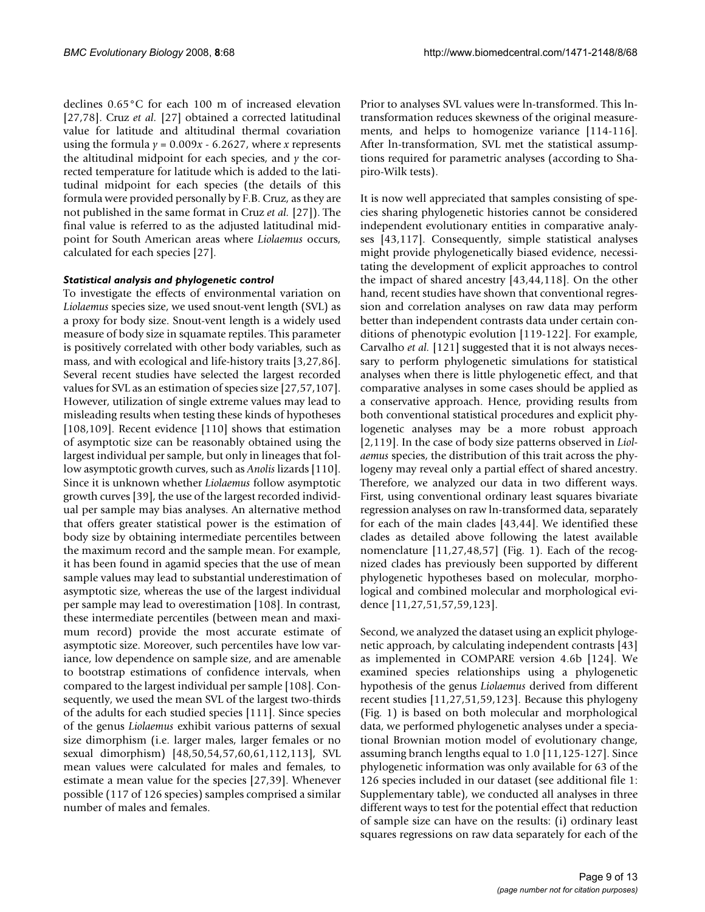declines 0.65°C for each 100 m of increased elevation [27,78]. Cruz *et al.* [27] obtained a corrected latitudinal value for latitude and altitudinal thermal covariation using the formula  $y = 0.009x - 6.2627$ , where *x* represents the altitudinal midpoint for each species, and *y* the corrected temperature for latitude which is added to the latitudinal midpoint for each species (the details of this formula were provided personally by F.B. Cruz, as they are not published in the same format in Cruz *et al.* [27]). The final value is referred to as the adjusted latitudinal midpoint for South American areas where *Liolaemus* occurs, calculated for each species [27].

### *Statistical analysis and phylogenetic control*

To investigate the effects of environmental variation on *Liolaemus* species size, we used snout-vent length (SVL) as a proxy for body size. Snout-vent length is a widely used measure of body size in squamate reptiles. This parameter is positively correlated with other body variables, such as mass, and with ecological and life-history traits [3,27,86]. Several recent studies have selected the largest recorded values for SVL as an estimation of species size [27,57,107]. However, utilization of single extreme values may lead to misleading results when testing these kinds of hypotheses [108,109]. Recent evidence [110] shows that estimation of asymptotic size can be reasonably obtained using the largest individual per sample, but only in lineages that follow asymptotic growth curves, such as *Anolis* lizards [110]. Since it is unknown whether *Liolaemus* follow asymptotic growth curves [39], the use of the largest recorded individual per sample may bias analyses. An alternative method that offers greater statistical power is the estimation of body size by obtaining intermediate percentiles between the maximum record and the sample mean. For example, it has been found in agamid species that the use of mean sample values may lead to substantial underestimation of asymptotic size, whereas the use of the largest individual per sample may lead to overestimation [108]. In contrast, these intermediate percentiles (between mean and maximum record) provide the most accurate estimate of asymptotic size. Moreover, such percentiles have low variance, low dependence on sample size, and are amenable to bootstrap estimations of confidence intervals, when compared to the largest individual per sample [108]. Consequently, we used the mean SVL of the largest two-thirds of the adults for each studied species [111]. Since species of the genus *Liolaemus* exhibit various patterns of sexual size dimorphism (i.e. larger males, larger females or no sexual dimorphism) [48,50,54,57,60,61,112,113], SVL mean values were calculated for males and females, to estimate a mean value for the species [27,39]. Whenever possible (117 of 126 species) samples comprised a similar number of males and females.

Prior to analyses SVL values were ln-transformed. This lntransformation reduces skewness of the original measurements, and helps to homogenize variance [114-116]. After ln-transformation, SVL met the statistical assumptions required for parametric analyses (according to Shapiro-Wilk tests).

It is now well appreciated that samples consisting of species sharing phylogenetic histories cannot be considered independent evolutionary entities in comparative analyses [43,117]. Consequently, simple statistical analyses might provide phylogenetically biased evidence, necessitating the development of explicit approaches to control the impact of shared ancestry [43,44,118]. On the other hand, recent studies have shown that conventional regression and correlation analyses on raw data may perform better than independent contrasts data under certain conditions of phenotypic evolution [119-122]. For example, Carvalho *et al.* [121] suggested that it is not always necessary to perform phylogenetic simulations for statistical analyses when there is little phylogenetic effect, and that comparative analyses in some cases should be applied as a conservative approach. Hence, providing results from both conventional statistical procedures and explicit phylogenetic analyses may be a more robust approach [2,119]. In the case of body size patterns observed in *Liolaemus* species, the distribution of this trait across the phylogeny may reveal only a partial effect of shared ancestry. Therefore, we analyzed our data in two different ways. First, using conventional ordinary least squares bivariate regression analyses on raw ln-transformed data, separately for each of the main clades [43,44]. We identified these clades as detailed above following the latest available nomenclature [11,27,48,57] (Fig. 1). Each of the recognized clades has previously been supported by different phylogenetic hypotheses based on molecular, morphological and combined molecular and morphological evidence [11,27,51,57,59,123].

Second, we analyzed the dataset using an explicit phylogenetic approach, by calculating independent contrasts [43] as implemented in COMPARE version 4.6b [124]. We examined species relationships using a phylogenetic hypothesis of the genus *Liolaemus* derived from different recent studies [11,27,51,59,123]. Because this phylogeny (Fig. 1) is based on both molecular and morphological data, we performed phylogenetic analyses under a speciational Brownian motion model of evolutionary change, assuming branch lengths equal to 1.0 [11,125-127]. Since phylogenetic information was only available for 63 of the 126 species included in our dataset (see additional file 1: Supplementary table), we conducted all analyses in three different ways to test for the potential effect that reduction of sample size can have on the results: (i) ordinary least squares regressions on raw data separately for each of the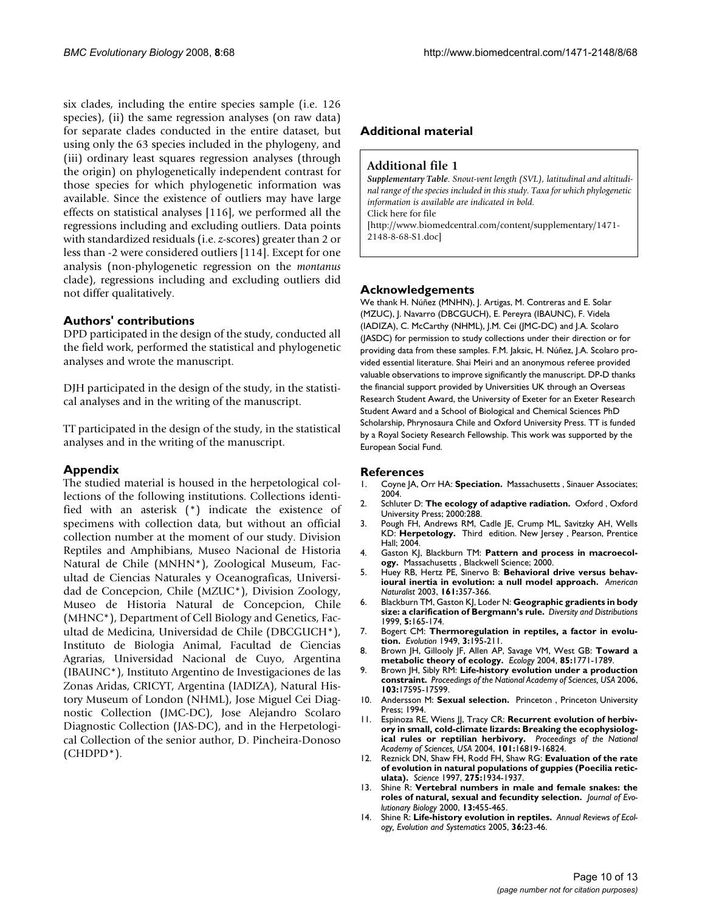six clades, including the entire species sample (i.e. 126 species), (ii) the same regression analyses (on raw data) for separate clades conducted in the entire dataset, but using only the 63 species included in the phylogeny, and (iii) ordinary least squares regression analyses (through the origin) on phylogenetically independent contrast for those species for which phylogenetic information was available. Since the existence of outliers may have large effects on statistical analyses [116], we performed all the regressions including and excluding outliers. Data points with standardized residuals (i.e. *z*-scores) greater than 2 or less than -2 were considered outliers [114]. Except for one analysis (non-phylogenetic regression on the *montanus* clade), regressions including and excluding outliers did not differ qualitatively.

# **Authors' contributions**

DPD participated in the design of the study, conducted all the field work, performed the statistical and phylogenetic analyses and wrote the manuscript.

DJH participated in the design of the study, in the statistical analyses and in the writing of the manuscript.

TT participated in the design of the study, in the statistical analyses and in the writing of the manuscript.

### **Appendix**

The studied material is housed in the herpetological collections of the following institutions. Collections identified with an asterisk (\*) indicate the existence of specimens with collection data, but without an official collection number at the moment of our study. Division Reptiles and Amphibians, Museo Nacional de Historia Natural de Chile (MNHN\*), Zoological Museum, Facultad de Ciencias Naturales y Oceanograficas, Universidad de Concepcion, Chile (MZUC\*), Division Zoology, Museo de Historia Natural de Concepcion, Chile (MHNC\*), Department of Cell Biology and Genetics, Facultad de Medicina, Universidad de Chile (DBCGUCH\*), Instituto de Biologia Animal, Facultad de Ciencias Agrarias, Universidad Nacional de Cuyo, Argentina (IBAUNC\*), Instituto Argentino de Investigaciones de las Zonas Aridas, CRICYT, Argentina (IADIZA), Natural History Museum of London (NHML), Jose Miguel Cei Diagnostic Collection (JMC-DC), Jose Alejandro Scolaro Diagnostic Collection (JAS-DC), and in the Herpetological Collection of the senior author, D. Pincheira-Donoso (CHDPD\*).

# **Additional material**

### **Additional file 1**

*Supplementary Table. Snout-vent length (SVL), latitudinal and altitudinal range of the species included in this study. Taxa for which phylogenetic information is available are indicated in bold.* Click here for file [\[http://www.biomedcentral.com/content/supplementary/1471-](http://www.biomedcentral.com/content/supplementary/1471-2148-8-68-S1.doc) 2148-8-68-S1.doc]

### **Acknowledgements**

We thank H. Núñez (MNHN), J. Artigas, M. Contreras and E. Solar (MZUC), J. Navarro (DBCGUCH), E. Pereyra (IBAUNC), F. Videla (IADIZA), C. McCarthy (NHML), J.M. Cei (JMC-DC) and J.A. Scolaro (JASDC) for permission to study collections under their direction or for providing data from these samples. F.M. Jaksic, H. Núñez, J.A. Scolaro provided essential literature. Shai Meiri and an anonymous referee provided valuable observations to improve significantly the manuscript. DP-D thanks the financial support provided by Universities UK through an Overseas Research Student Award, the University of Exeter for an Exeter Research Student Award and a School of Biological and Chemical Sciences PhD Scholarship, Phrynosaura Chile and Oxford University Press. TT is funded by a Royal Society Research Fellowship. This work was supported by the European Social Fund.

### **References**

- 1. Coyne JA, Orr HA: **Speciation.** Massachusetts , Sinauer Associates; 2004.
- 2. Schluter D: **The ecology of adaptive radiation.** Oxford , Oxford University Press; 2000:288.
- 3. Pough FH, Andrews RM, Cadle JE, Crump ML, Savitzky AH, Wells KD: **Herpetology.** Third edition. New Jersey , Pearson, Prentice Hall; 2004.
- 4. Gaston KJ, Blackburn TM: **Pattern and process in macroecology.** Massachusetts , Blackwell Science; 2000.
- 5. Huey RB, Hertz PE, Sinervo B: **[Behavioral drive versus behav](http://www.ncbi.nlm.nih.gov/entrez/query.fcgi?cmd=Retrieve&db=PubMed&dopt=Abstract&list_uids=12699218)[ioural inertia in evolution: a null model approach.](http://www.ncbi.nlm.nih.gov/entrez/query.fcgi?cmd=Retrieve&db=PubMed&dopt=Abstract&list_uids=12699218)** *American Naturalist* 2003, **161:**357-366.
- 6. Blackburn TM, Gaston KJ, Loder N: **Geographic gradients in body size: a clarification of Bergmann's rule.** *Diversity and Distributions* 1999, **5:**165-174.
- 7. Bogert CM: **[Thermoregulation in reptiles, a factor in evolu](http://www.ncbi.nlm.nih.gov/entrez/query.fcgi?cmd=Retrieve&db=PubMed&dopt=Abstract&list_uids=18138377)[tion.](http://www.ncbi.nlm.nih.gov/entrez/query.fcgi?cmd=Retrieve&db=PubMed&dopt=Abstract&list_uids=18138377)** *Evolution* 1949, **3:**195-211.
- 8. Brown JH, Gillooly JF, Allen AP, Savage VM, West GB: **Toward a metabolic theory of ecology.** *Ecology* 2004, **85:**1771-1789.
- 9. Brown JH, Sibly RM: **Life-history evolution under a production constraint.** *Proceedings of the National Academy of Sciences, USA* 2006, **103:**17595-17599.
- 10. Andersson M: **Sexual selection.** Princeton , Princeton University Press; 1994.
- 11. Espinoza RE, Wiens JJ, Tracy CR: **Recurrent evolution of herbivory in small, cold-climate lizards: Breaking the ecophysiological rules or reptilian herbivory.** *Proceedings of the National Academy of Sciences, USA* 2004, **101:**16819-16824.
- 12. Reznick DN, Shaw FH, Rodd FH, Shaw RG: **[Evaluation of the rate](http://www.ncbi.nlm.nih.gov/entrez/query.fcgi?cmd=Retrieve&db=PubMed&dopt=Abstract&list_uids=9072971) [of evolution in natural populations of guppies \(Poecilia retic](http://www.ncbi.nlm.nih.gov/entrez/query.fcgi?cmd=Retrieve&db=PubMed&dopt=Abstract&list_uids=9072971)[ulata\).](http://www.ncbi.nlm.nih.gov/entrez/query.fcgi?cmd=Retrieve&db=PubMed&dopt=Abstract&list_uids=9072971)** *Science* 1997, **275:**1934-1937.
- 13. Shine R: **Vertebral numbers in male and female snakes: the roles of natural, sexual and fecundity selection.** *Journal of Evolutionary Biology* 2000, **13:**455-465.
- 14. Shine R: **Life-history evolution in reptiles.** *Annual Reviews of Ecology, Evolution and Systematics* 2005, **36:**23-46.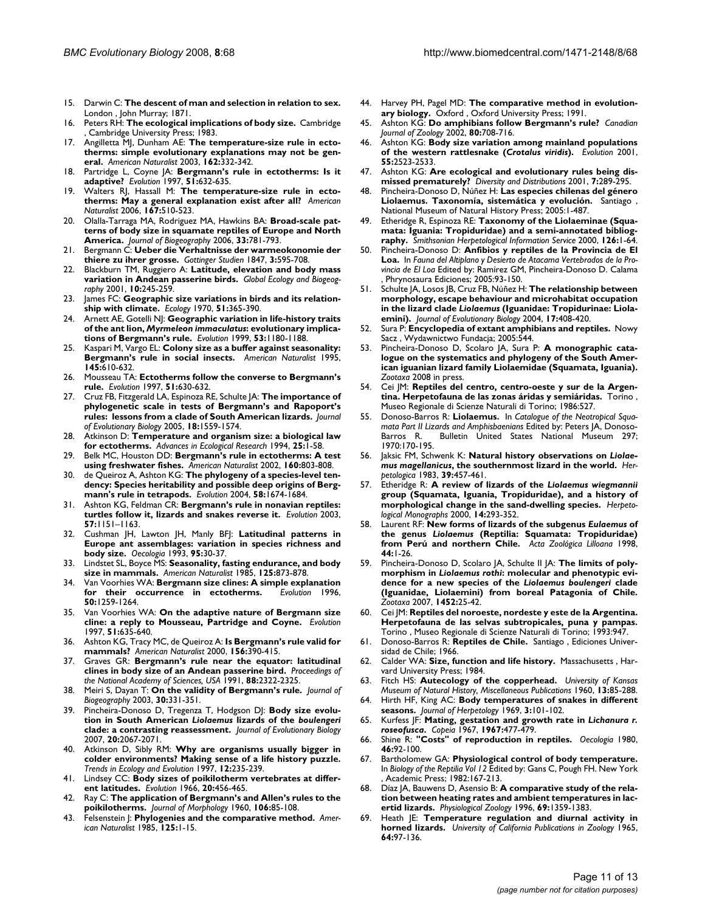- 15. Darwin C: **The descent of man and selection in relation to sex.** London, John Murray; 187
- 16. Peters RH: **The ecological implications of body size.** Cambridge , Cambridge University Press; 1983.
- 17. Angilletta MJ, Dunham AE: **[The temperature-size rule in ecto](http://www.ncbi.nlm.nih.gov/entrez/query.fcgi?cmd=Retrieve&db=PubMed&dopt=Abstract&list_uids=12970841)[therms: simple evolutionary explanations may not be gen](http://www.ncbi.nlm.nih.gov/entrez/query.fcgi?cmd=Retrieve&db=PubMed&dopt=Abstract&list_uids=12970841)[eral.](http://www.ncbi.nlm.nih.gov/entrez/query.fcgi?cmd=Retrieve&db=PubMed&dopt=Abstract&list_uids=12970841)** *American Naturalist* 2003, **162:**332-342.
- 18. Partridge L, Coyne JA: **Bergmann's rule in ectotherms: Is it adaptive?** *Evolution* 1997, **51:**632-635.
- 19. Walters RJ, Hassall M: **[The temperature-size rule in ecto](http://www.ncbi.nlm.nih.gov/entrez/query.fcgi?cmd=Retrieve&db=PubMed&dopt=Abstract&list_uids=16670994)[therms: May a general explanation exist after all?](http://www.ncbi.nlm.nih.gov/entrez/query.fcgi?cmd=Retrieve&db=PubMed&dopt=Abstract&list_uids=16670994)** *American Naturalist* 2006, **167:**510-523.
- 20. Olalla-Tarraga MA, Rodriguez MA, Hawkins BA: **Broad-scale patterns of body size in squamate reptiles of Europe and North America.** *Journal of Biogeography* 2006, **33:**781-793.
- 21. Bergmann C: **Ueber die Verhaltnisse der warmeokonomie der thiere zu ihrer grosse.** *Gottinger Studien* 1847, **3:**595-708.
- 22. Blackburn TM, Ruggiero A: **Latitude, elevation and body mass variation in Andean passerine birds.** *Global Ecology and Biogeography* 2001, **10:**245-259.
- 23. James FC: **Geographic size variations in birds and its relationship with climate.** *Ecology* 1970, **51:**365-390.
- 24. Arnett AE, Gotelli NJ: **Geographic variation in life-history traits of the ant lion,** *Myrmeleon immaculatus***: evolutionary implications of Bergmann's rule.** *Evolution* 1999, **53:**1180-1188.
- 25. Kaspari M, Vargo EL: **Colony size as a buffer against seasonality: Bergmann's rule in social insects.** *American Naturalist* 1995, **145:**610-632.
- 26. Mousseau TA: **Ectotherms follow the converse to Bergmann's rule.** *Evolution* 1997, **51:**630-632.
- 27. Cruz FB, Fitzgerald LA, Espinoza RE, Schulte JA: **[The importance of](http://www.ncbi.nlm.nih.gov/entrez/query.fcgi?cmd=Retrieve&db=PubMed&dopt=Abstract&list_uids=16313468) [phylogenetic scale in tests of Bergmann's and Rapoport's](http://www.ncbi.nlm.nih.gov/entrez/query.fcgi?cmd=Retrieve&db=PubMed&dopt=Abstract&list_uids=16313468) [rules: lessons from a clade of South American lizards.](http://www.ncbi.nlm.nih.gov/entrez/query.fcgi?cmd=Retrieve&db=PubMed&dopt=Abstract&list_uids=16313468)** *Journal of Evolutionary Biology* 2005, **18:**1559-1574.
- 28. Atkinson D: **Temperature and organism size: a biological law for ectotherms.** *Advances in Ecological Research* 1994, **25:**1-58.
- 29. Belk MC, Houston DD: **Bergmann's rule in ectotherms: A test using freshwater fishes.** *American Naturalist* 2002, **160:**803-808.
- 30. de Queiroz A, Ashton KG: **[The phylogeny of a species-level ten](http://www.ncbi.nlm.nih.gov/entrez/query.fcgi?cmd=Retrieve&db=PubMed&dopt=Abstract&list_uids=15446422)[dency: Species heritability and possible deep origins of Berg](http://www.ncbi.nlm.nih.gov/entrez/query.fcgi?cmd=Retrieve&db=PubMed&dopt=Abstract&list_uids=15446422)[mann's rule in tetrapods.](http://www.ncbi.nlm.nih.gov/entrez/query.fcgi?cmd=Retrieve&db=PubMed&dopt=Abstract&list_uids=15446422)** *Evolution* 2004, **58:**1674-1684.
- 31. Ashton KG, Feldman CR: **Bergmann's rule in nonavian reptiles: turtles follow it, lizards and snakes reverse it.** *Evolution* 2003, **57:**1151–1163.
- 32. Cushman JH, Lawton JH, Manly BFJ: **Latitudinal patterns in Europe ant assemblages: variation in species richness and body size.** *Oecologia* 1993, **95:**30-37.
- 33. Lindstet SL, Boyce MS: **Seasonality, fasting endurance, and body size in mammals.** *American Naturalist* 1985, **125:**873-878.
- 34. Van Voorhies WA: **Bergmann size clines: A simple explanation for their occurrence in ectotherms.** *Evolution* 1996, **50:**1259-1264.
- 35. Van Voorhies WA: **On the adaptive nature of Bergmann size cline: a reply to Mousseau, Partridge and Coyne.** *Evolution* 1997, **51:**635-640.
- 36. Ashton KG, Tracy MC, de Queiroz A: **Is Bergmann's rule valid for mammals?** *American Naturalist* 2000, **156:**390-415.
- 37. Graves GR: **Bergmann's rule near the equator: latitudinal clines in body size of an Andean passerine bird.** *Proceedings of the National Academy of Sciences, USA* 1991, **88:**2322-2325.
- 38. Meiri S, Dayan T: **On the validity of Bergmann's rule.** *Journal of Biogeography* 2003, **30:**331-351.
- Pincheira-Donoso D, Tregenza T, Hodgson DJ: Body size evolu**tion in South American** *Liolaemus* **lizards of the** *boulengeri* **[clade: a contrasting reassessment.](http://www.ncbi.nlm.nih.gov/entrez/query.fcgi?cmd=Retrieve&db=PubMed&dopt=Abstract&list_uids=17714323)** *Journal of Evolutionary Biology* 2007, **20:**2067-2071.
- 40. Atkinson D, Sibly RM: **Why are organisms usually bigger in colder environments? Making sense of a life history puzzle.** *Trends in Ecology and Evolution* 1997, **12:**235-239.
- 41. Lindsey CC: **Body sizes of poikilotherm vertebrates at different latitudes.** *Evolution* 1966, **20:**456-465.
- 42. Ray C: **[The application of Bergmann's and Allen's rules to the](http://www.ncbi.nlm.nih.gov/entrez/query.fcgi?cmd=Retrieve&db=PubMed&dopt=Abstract&list_uids=14436612) [poikilotherms.](http://www.ncbi.nlm.nih.gov/entrez/query.fcgi?cmd=Retrieve&db=PubMed&dopt=Abstract&list_uids=14436612)** *Journal of Morphology* 1960, **106:**85-108.
- 43. Felsenstein J: **Phylogenies and the comparative method.** *American Naturalist* 1985, **125:**1-15.
- 44. Harvey PH, Pagel MD: **The comparative method in evolutionary biology.** Oxford , Oxford University Press; 1991.
- 45. Ashton KG: **Do amphibians follow Bergmann's rule?** *Canadian Journal of Zoology* 2002, **80:**708-716.
- <span id="page-10-0"></span>46. Ashton KG: **Body size variation among mainland populations of the western rattlesnake (***Crotalus viridis***[\).](http://www.ncbi.nlm.nih.gov/entrez/query.fcgi?cmd=Retrieve&db=PubMed&dopt=Abstract&list_uids=11831667)** *Evolution* 2001, **55:**2523-2533.
- 47. Ashton KG: **Are ecological and evolutionary rules being dismissed prematurely?** *Diversity and Distributions* 2001, **7:**289-295.
- 48. Pincheira-Donoso D, Núñez H: **Las especies chilenas del género Liolaemus. Taxonomía, sistemática y evolución.** Santiago , National Museum of Natural History Press; 2005:1-487.
- 49. Etheridge R, Espinoza RE: **Taxonomy of the Liolaeminae (Squamata: Iguania: Tropiduridae) and a semi-annotated bibliography.** *Smithsonian Herpetological Information Service* 2000, **126:**1-64.
- 50. Pincheira-Donoso D: **Anfibios y reptiles de la Provincia de El Loa.** In *Fauna del Altiplano y Desierto de Atacama Vertebrados de la Provincia de El Loa* Edited by: Ramírez GM, Pincheira-Donoso D. Calama , Phrynosaura Ediciones; 2005:93-150.
- 51. Schulte JA, Losos JB, Cruz FB, Núñez H: **The relationship between morphology, escape behaviour and microhabitat occupation in the lizard clade** *Liolaemus* **[\(Iguanidae: Tropidurinae: Liola](http://www.ncbi.nlm.nih.gov/entrez/query.fcgi?cmd=Retrieve&db=PubMed&dopt=Abstract&list_uids=15009274)[emini\).](http://www.ncbi.nlm.nih.gov/entrez/query.fcgi?cmd=Retrieve&db=PubMed&dopt=Abstract&list_uids=15009274)** *Journal of Evolutionary Biology* 2004, **17:**408-420.
- 52. Sura P: **Encyclopedia of extant amphibians and reptiles.** Nowy Sacz , Wydawnictwo Fundacja; 2005:544.
- Pincheira-Donoso D, Scolaro JA, Sura P: A monographic cata**logue on the systematics and phylogeny of the South American iguanian lizard family Liolaemidae (Squamata, Iguania).** *Zootaxa* 2008 in press.
- 54. Cei JM: **Reptiles del centro, centro-oeste y sur de la Argentina. Herpetofauna de las zonas áridas y semiáridas.** Torino , Museo Regionale di Scienze Naturali di Torino; 1986:527.
- 55. Donoso-Barros R: **Liolaemus.** In *Catalogue of the Neotropical Squamata Part II Lizards and Amphisbaenians* Edited by: Peters JA, Donoso-Barros R. Bulletin United States National Museum 297; 1970:170-195.
- 56. Jaksic FM, Schwenk K: **Natural history observations on** *Liolaemus magellanicus***, the southernmost lizard in the world.** *Herpetologica* 1983, **39:**457-461.
- 57. Etheridge R: **A review of lizards of the** *Liolaemus wiegmannii* **group (Squamata, Iguania, Tropiduridae), and a history of morphological change in the sand-dwelling species.** *Herpetological Monographs* 2000, **14:**293-352.
- 58. Laurent RF: **New forms of lizards of the subgenus** *Eulaemus* **of the genus** *Liolaemus* **(Reptilia: Squamata: Tropiduridae) from Perú and northern Chile.** *Acta Zoológica Lilloana* 1998, **44:**1-26.
- Pincheira-Donoso D, Scolaro JA, Schulte II JA: The limits of poly**morphism in** *Liolaemus rothi***: molecular and phenotypic evidence for a new species of the** *Liolaemus boulengeri* **clade (Iguanidae, Liolaemini) from boreal Patagonia of Chile.** *Zootaxa* 2007, **1452:**25-42.
- 60. Cei JM: **Reptiles del noroeste, nordeste y este de la Argentina. Herpetofauna de las selvas subtropicales, puna y pampas.** Torino , Museo Regionale di Scienze Naturali di Torino; 1993:947.
- 61. Donoso-Barros R: **Reptiles de Chile.** Santiago , Ediciones Universidad de Chile; 1966.
- 62. Calder WA: **Size, function and life history.** Massachusetts , Harvard University Press; 1984.
- 63. Fitch HS: **Autecology of the copperhead.** *University of Kansas Museum of Natural History, Miscellaneous Publications* 1960, **13:**85-288.
- 64. Hirth HF, King AC: **Body temperatures of snakes in different seasons.** *Journal of Herpetology* 1969, **3:**101-102.
- 65. Kurfess JF: **Mating, gestation and growth rate in** *Lichanura r. roseofusca***.** *Copeia* 1967, **1967:**477-479.
- 66. Shine R: **"Costs" of reproduction in reptiles.** *Oecologia* 1980, **46:**92-100.
- Bartholomew GA: Physiological control of body temperature. In *Biology of the Reptilia Vol 12* Edited by: Gans C, Pough FH. New York , Academic Press; 1982:167-213.
- 68. Díaz JA, Bauwens D, Asensio B: **A comparative study of the relation between heating rates and ambient temperatures in lacertid lizards.** *Physiological Zoology* 1996, **69:**1359-1383.
- 69. Heath JE: **Temperature regulation and diurnal activity in horned lizards.** *University of California Publications in Zoology* 1965, **64:**97-136.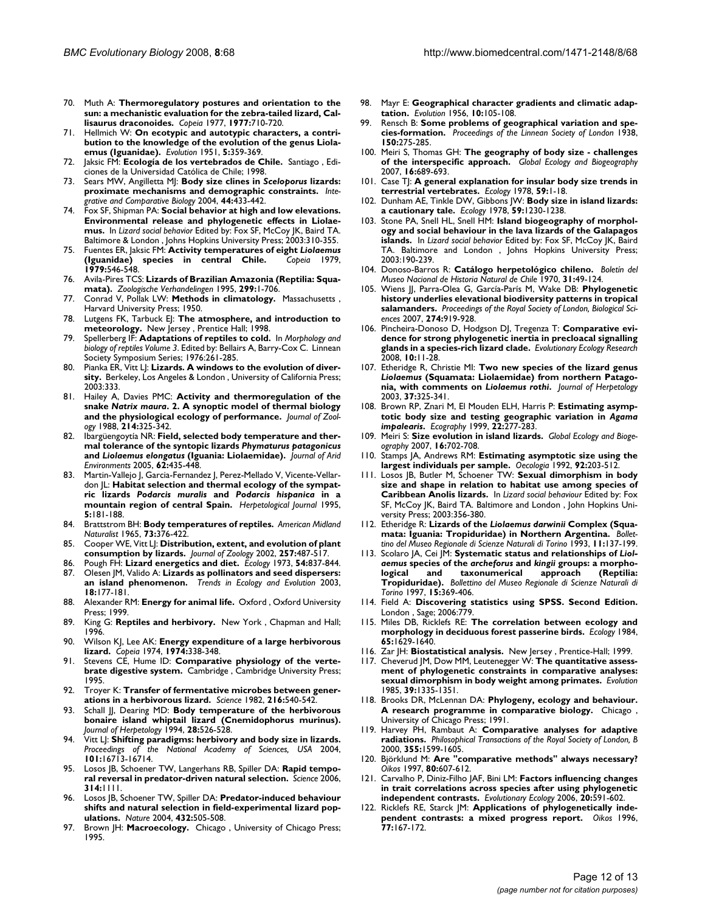- 70. Muth A: **Thermoregulatory postures and orientation to the sun: a mechanistic evaluation for the zebra-tailed lizard, Callisaurus draconoides.** *Copeia* 1977, **1977:**710-720.
- 71. Hellmich W: **On ecotypic and autotypic characters, a contribution to the knowledge of the evolution of the genus Liolaemus (Iguanidae).** *Evolution* 1951, **5:**359-369.
- Jaksic FM: Ecología de los vertebrados de Chile. Santiago, Ediciones de la Universidad Católica de Chile; 1998.
- 73. Sears MW, Angilletta MJ: **Body size clines in** *Sceloporus* **lizards: proximate mechanisms and demographic constraints.** *Integrative and Comparative Biology* 2004, **44:**433-442.
- Fox SF, Shipman PA: Social behavior at high and low elevations. **Environmental release and phylogenetic effects in Liolaemus.** In *Lizard social behavior* Edited by: Fox SF, McCoy JK, Baird TA. Baltimore & London , Johns Hopkins University Press; 2003:310-355.
- 75. Fuentes ER, Jaksic FM: **Activity temperatures of eight** *Liolaemus*  $(lguanidae)$  species in central Chile. **1979:**546-548.
- 76. Avila-Pires TCS: **Lizards of Brazilian Amazonia (Reptilia: Squamata).** *Zoologische Verhandelingen* 1995, **299:**1-706.
- 77. Conrad V, Pollak LW: **Methods in climatology.** Massachusetts , Harvard University Press; 1950.
- 78. Lutgens FK, Tarbuck EJ: **The atmosphere, and introduction to meteorology.** New Jersey , Prentice Hall; 1998.
- 79. Spellerberg IF: **Adaptations of reptiles to cold.** In *Morphology and biology of reptiles Volume 3*. Edited by: Bellairs A, Barry-Cox C. Linnean Society Symposium Series; 1976:261-285.
- 80. Pianka ER, Vitt L|: Lizards. A windows to the evolution of diver**sity.** Berkeley, Los Angeles & London , University of California Press; 2003:333.
- 81. Hailey A, Davies PMC: **Activity and thermoregulation of the snake** *Natrix maura***. 2. A synoptic model of thermal biology and the physiological ecology of performance.** *Journal of Zoology* 1988, **214:**325-342.
- 82. Ibargüengoytía NR: **Field, selected body temperature and thermal tolerance of the syntopic lizards** *Phymaturus patagonicus* **and** *Liolaemus elongatus* **(Iguania: Liolaemidae).** *Journal of Arid Environments* 2005, **62:**435-448.
- 83. Martin-Vallejo J, Garcia-Fernandez J, Perez-Mellado V, Vicente-Vellardon JL: **Habitat selection and thermal ecology of the sympatric lizards** *Podarcis muralis* **and** *Podarcis hispanica* **in a mountain region of central Spain.** *Herpetological Journal* 1995, **5:**181-188.
- 84. Brattstrom BH: **Body temperatures of reptiles.** *American Midland Naturalist* 1965, **73:**376-422.
- 85. Cooper WE, Vitt LJ: **Distribution, extent, and evolution of plant consumption by lizards.** *Journal of Zoology* 2002, **257:**487-517.
- 86. Pough FH: **Lizard energetics and diet.** *Ecology* 1973, **54:**837-844. 87. Olesen JM, Valido A: **Lizards as pollinators and seed dispersers: an island phenomenon.** *Trends in Ecology and Evolution* 2003, **18:**177-181.
- 88. Alexander RM: **Energy for animal life.** Oxford , Oxford University Press; 1999.
- 89. King G: **Reptiles and herbivory.** New York , Chapman and Hall; 1996.
- 90. Wilson KJ, Lee AK: **Energy expenditure of a large herbivorous lizard.** *Copeia* 1974, **1974:**338-348.
- Stevens CE, Hume ID: **Comparative physiology of the vertebrate digestive system.** Cambridge , Cambridge University Press; 1995.
- 92. Troyer K: **[Transfer of fermentative microbes between gener](http://www.ncbi.nlm.nih.gov/entrez/query.fcgi?cmd=Retrieve&db=PubMed&dopt=Abstract&list_uids=17735744)[ations in a herbivorous lizard.](http://www.ncbi.nlm.nih.gov/entrez/query.fcgi?cmd=Retrieve&db=PubMed&dopt=Abstract&list_uids=17735744)** *Science* 1982, **216:**540-542.
- Schall JJ, Dearing MD: **Body temperature of the herbivorous bonaire island whiptail lizard (Cnemidophorus murinus).** *Journal of Herpetology* 1994, **28:**526-528.
- Vitt LJ: Shifting paradigms: herbivory and body size in lizards. *Proceedings of the National Academy of Sciences, USA* 2004, **101:**16713-16714.
- 95. Losos JB, Schoener TW, Langerhans RB, Spiller DA: **[Rapid tempo](http://www.ncbi.nlm.nih.gov/entrez/query.fcgi?cmd=Retrieve&db=PubMed&dopt=Abstract&list_uids=17110568)[ral reversal in predator-driven natural selection.](http://www.ncbi.nlm.nih.gov/entrez/query.fcgi?cmd=Retrieve&db=PubMed&dopt=Abstract&list_uids=17110568)** *Science* 2006, **314:**1111.
- 96. Losos JB, Schoener TW, Spiller DA: **[Predator-induced behaviour](http://www.ncbi.nlm.nih.gov/entrez/query.fcgi?cmd=Retrieve&db=PubMed&dopt=Abstract&list_uids=15565155) [shifts and natural selection in field-experimental lizard pop](http://www.ncbi.nlm.nih.gov/entrez/query.fcgi?cmd=Retrieve&db=PubMed&dopt=Abstract&list_uids=15565155)[ulations.](http://www.ncbi.nlm.nih.gov/entrez/query.fcgi?cmd=Retrieve&db=PubMed&dopt=Abstract&list_uids=15565155)** *Nature* 2004, **432:**505-508.
- 97. Brown JH: **Macroecology.** Chicago , University of Chicago Press; 1995.
- 98. Mayr E: **Geographical character gradients and climatic adaptation.** *Evolution* 1956, **10:**105-108.
- 99. Rensch B: **Some problems of geographical variation and species-formation.** *Proceedings of the Linnean Society of London* 1938, **150:**275-285.
- 100. Meiri S, Thomas GH: **The geography of body size challenges of the interspecific approach.** *Global Ecology and Biogeography* 2007, **16:**689-693.
- 101. Case TJ: **A general explanation for insular body size trends in terrestrial vertebrates.** *Ecology* 1978, **59:**1-18.
- 102. Dunham AE, Tinkle DW, Gibbons JW: **Body size in island lizards: a cautionary tale.** *Ecology* 1978, **59:**1230-1238.
- 103. Stone PA, Snell HL, Snell HM: **Island biogeography of morphology and social behaviour in the lava lizards of the Galapagos islands.** In *Lizard social behavior* Edited by: Fox SF, McCoy JK, Baird TA. Baltimore and London , Johns Hopkins University Press; 2003:190-239.
- 104. Donoso-Barros R: **Catálogo herpetológico chileno.** *Boletín del Museo Nacional de Historia Natural de Chile* 1970, **31:**49-124.
- 105. Wiens JJ, Parra-Olea G, García-París M, Wake DB: **Phylogenetic history underlies elevational biodiversity patterns in tropical salamanders.** *Proceedings of the Royal Society of London, Biological Sciences* 2007, **274:**919-928.
- 106. Pincheira-Donoso D, Hodgson DJ, Tregenza T: **Comparative evidence for strong phylogenetic inertia in precloacal signalling glands in a species-rich lizard clade.** *Evolutionary Ecology Research* 2008, **10:**11-28.
- 107. Etheridge R, Christie MI: **Two new species of the lizard genus** *Liolaemus* **(Squamata: Liolaemidae) from northern Patagonia, with comments on** *Liolaemus rothi***.** *Journal of Herpetology* 2003, **37:**325-341.
- 108. Brown RP, Znari M, El Mouden ELH, Harris P: **Estimating asymptotic body size and testing geographic variation in** *Agama impalearis***.** *Ecography* 1999, **22:**277-283.
- 109. Meiri S: **Size evolution in island lizards.** *Global Ecology and Biogeography* 2007, **16:**702-708.
- 110. Stamps JA, Andrews RM: **Estimating asymptotic size using the largest individuals per sample.** *Oecologia* 1992, **92:**203-512.
- 111. Losos JB, Butler M, Schoener TW: **Sexual dimorphism in body size and shape in relation to habitat use among species of Caribbean Anolis lizards.** In *Lizard social behaviour* Edited by: Fox SF, McCoy JK, Baird TA. Baltimore and London , John Hopkins University Press; 2003:356-380.
- 112. Etheridge R: **Lizards of the** *Liolaemus darwinii* **Complex (Squamata: Iguania: Tropiduridae) in Northern Argentina.** *Bollettino del Museo Regionale di Scienze Naturali di Torino* 1993, **11:**137-199.
- 113. Scolaro JA, Cei JM: **Systematic status and relationships of** *Liolaemus* **species of the** *archeforus* **and** *kingii* **groups: a morphological and taxonumerical approach (Reptilia: Tropiduridae).** *Bollettino del Museo Regionale di Scienze Naturali di Torino* 1997, **15:**369-406.
- 114. Field A: **Discovering statistics using SPSS. Second Edition.** London , Sage; 2006:779.
- 115. Miles DB, Ricklefs RE: **The correlation between ecology and morphology in deciduous forest passerine birds.** *Ecology* 1984, **65:**1629-1640.
- 116. Zar JH: **Biostatistical analysis.** New Jersey , Prentice-Hall; 1999.
- 117. Cheverud JM, Dow MM, Leutenegger W: **The quantitative assessment of phylogenetic constraints in comparative analyses: sexual dimorphism in body weight among primates.** *Evolution* 1985, **39:**1335-1351.
- 118. Brooks DR, McLennan DA: **Phylogeny, ecology and behaviour. A research programme in comparative biology.** Chicago , University of Chicago Press; 1991.
- 119. Harvey PH, Rambaut A: **Comparative analyses for adaptive radiations.** *Philosophical Transactions of the Royal Society of London, B* 2000, **355:**1599-1605.
- 120. Björklund M: **Are "comparative methods" always necessary?** *Oikos* 1997, **80:**607-612.
- 121. Carvalho P, Diniz-Filho JAF, Bini LM: **Factors influencing changes in trait correlations across species after using phylogenetic independent contrasts.** *Evolutionary Ecology* 2006, **20:**591-602.
- 122. Ricklefs RE, Starck JM: **Applications of phylogenetically independent contrasts: a mixed progress report.** *Oikos* 1996, **77:**167-172.